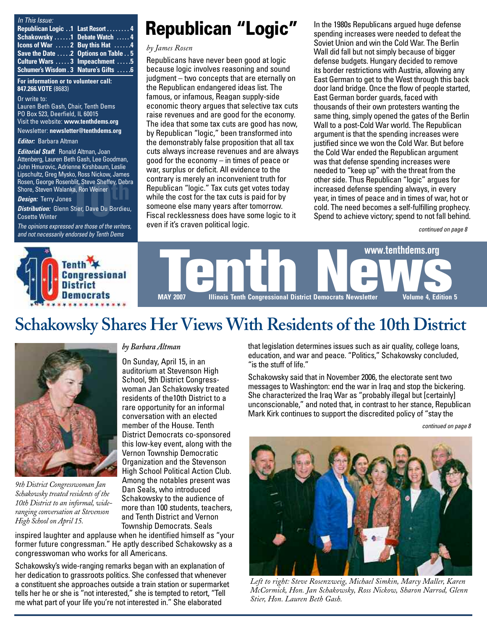| In This Issue:                                       |                                       |
|------------------------------------------------------|---------------------------------------|
| Republican Logic 1 Last Resort 4                     |                                       |
| Schakowsky 1 Debate Watch  4                         |                                       |
| <b>Icons of War</b> $\dots$ 2 Buy this Hat $\dots$ . |                                       |
| Save the Date 2 Options on Table 5                   |                                       |
| Culture Wars  3 Impeachment  5                       |                                       |
|                                                      | Schumer's Wisdom . 3 Nature's Gifts 6 |

**For information or to volunteer call: 847.266.VOTE** (8683)

Or write to:

Lauren Beth Gash, Chair, Tenth Dems PO Box 523, Deerfield, IL 60015 Visit the website: **[www.tenthdems.org](http://www.tenthdems.org)**  Newsletter: **[newsletter@tenthdems.org](mailto:newsletter@tenthdems.org)**

*Editor:* Barbara Altman

### *Editorial Staff*: Ronald Altman, Joan

Attenberg, Lauren Beth Gash, Lee Goodman, John Hmurovic, Adrienne Kirshbaum, Leslie Lipschultz, Greg Mysko, Ross Nickow, James Rosen, George Rosenblit, Steve Sheffey, Debra Shore, Steven Walanka, Ron Weiner

#### *Design:* Terry Jones

**10th**, Steve Sheffey, Debr<br>Ika, Ron Weiner<br>s<br>Stier, Dave Du Bordieu<br>od are these of the uniter *Distribution:* Glenn Stier, Dave Du Bordieu, Cosette Winter

*The opinions expressed are those of the writers, and not necessarily endorsed by Tenth Dems*

## **Republican "Logic"**

### *by James Rosen*

Republicans have never been good at logic because logic involves reasoning and sound judgment – two concepts that are eternally on the Republican endangered ideas list. The famous, or infamous, Reagan supply-side economic theory argues that selective tax cuts raise revenues and are good for the economy. The idea that some tax cuts are good has now, by Republican "logic," been transformed into the demonstrably false proposition that all tax cuts always increase revenues and are always good for the economy – in times of peace or war, surplus or deficit. All evidence to the contrary is merely an inconvenient truth for Republican "logic." Tax cuts get votes today while the cost for the tax cuts is paid for by someone else many years after tomorrow. Fiscal recklessness does have some logic to it even if it's craven political logic.

In the 1980s Republicans argued huge defense spending increases were needed to defeat the Soviet Union and win the Cold War. The Berlin Wall did fall but not simply because of bigger defense budgets. Hungary decided to remove its border restrictions with Austria, allowing any East German to get to the West through this back door land bridge. Once the flow of people started, East German border guards, faced with thousands of their own protesters wanting the same thing, simply opened the gates of the Berlin Wall to a post-Cold War world. The Republican argument is that the spending increases were justified since we won the Cold War. But before the Cold War ended the Republican argument was that defense spending increases were needed to "keep up" with the threat from the other side. Thus Republican "logic" argues for increased defense spending always, in every year, in times of peace and in times of war, hot or cold. The need becomes a self-fulfilling prophecy. Spend to achieve victory; spend to not fall behind.

*continued on page 8*



## **Schakowsky Shares Her Views With Residents of the 10th District**



*9th District Congresswoman Jan Schakowsky treated residents of the 10th District to an informal, wideranging conversation at Stevenson High School on April 15.*

### *by Barbara Altman*

On Sunday, April 15, in an auditorium at Stevenson High School, 9th District Congresswoman Jan Schakowsky treated residents of the10th District to a rare opportunity for an informal conversation with an elected member of the House. Tenth District Democrats co-sponsored this low-key event, along with the Vernon Township Democratic Organization and the Stevenson High School Political Action Club. Among the notables present was Dan Seals, who introduced Schakowsky to the audience of more than 100 students, teachers, and Tenth District and Vernon Township Democrats. Seals

inspired laughter and applause when he identified himself as "your former future congressman." He aptly described Schakowsky as a congresswoman who works for all Americans.

Schakowsky's wide-ranging remarks began with an explanation of her dedication to grassroots politics. She confessed that whenever a constituent she approaches outside a train station or supermarket tells her he or she is "not interested," she is tempted to retort, "Tell me what part of your life you're not interested in." She elaborated

that legislation determines issues such as air quality, college loans, education, and war and peace. "Politics," Schakowsky concluded, "is the stuff of life."

Schakowsky said that in November 2006, the electorate sent two messages to Washington: end the war in Iraq and stop the bickering. She characterized the Iraq War as "probably illegal but [certainly] unconscionable," and noted that, in contrast to her stance, Republican Mark Kirk continues to support the discredited policy of "stay the

*continued on page 8*



*Left to right: Steve Rosenzweig, Michael Simkin, Marcy Maller, Karen McCormick, Hon. Jan Schakowsky, Ross Nickow, Sharon Narrod, Glenn Stier, Hon. Lauren Beth Gash.*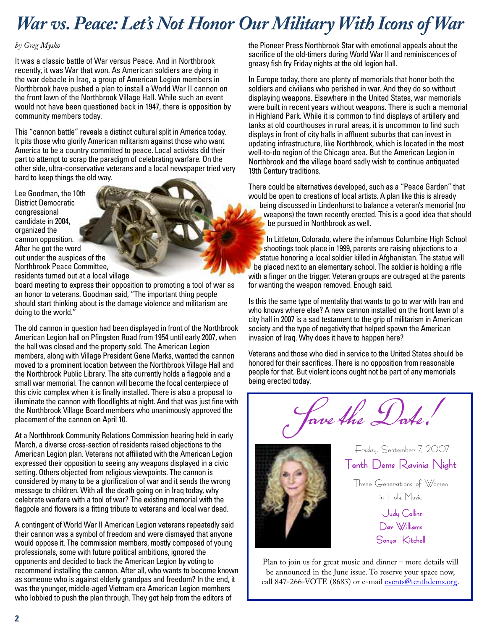# *War vs. Peace: Let's Not Honor Our Military With Icons of War*

### *by Greg Mysko*

It was a classic battle of War versus Peace. And in Northbrook recently, it was War that won. As American soldiers are dying in the war debacle in Iraq, a group of American Legion members in Northbrook have pushed a plan to install a World War II cannon on the front lawn of the Northbrook Village Hall. While such an event would not have been questioned back in 1947, there is opposition by community members today.

This "cannon battle" reveals a distinct cultural split in America today. It pits those who glorify American militarism against those who want America to be a country committed to peace. Local activists did their part to attempt to scrap the paradigm of celebrating warfare. On the other side, ultra-conservative veterans and a local newspaper tried very hard to keep things the old way.

Lee Goodman, the 10th District Democratic congressional candidate in 2004, organized the cannon opposition. After he got the word out under the auspices of the Northbrook Peace Committee, residents turned out at a local village

board meeting to express their opposition to promoting a tool of war as an honor to veterans. Goodman said, "The important thing people should start thinking about is the damage violence and militarism are doing to the world."

The old cannon in question had been displayed in front of the Northbrook American Legion hall on Pfingsten Road from 1954 until early 2007, when the hall was closed and the property sold. The American Legion members, along with Village President Gene Marks, wanted the cannon moved to a prominent location between the Northbrook Village Hall and the Northbrook Public Library. The site currently holds a flagpole and a small war memorial. The cannon will become the focal centerpiece of this civic complex when it is finally installed. There is also a proposal to illuminate the cannon with floodlights at night. And that was just fine with the Northbrook Village Board members who unanimously approved the placement of the cannon on April 10.

At a Northbrook Community Relations Commission hearing held in early March, a diverse cross-section of residents raised objections to the American Legion plan. Veterans not affiliated with the American Legion expressed their opposition to seeing any weapons displayed in a civic setting. Others objected from religious viewpoints. The cannon is considered by many to be a glorification of war and it sends the wrong message to children. With all the death going on in Iraq today, why celebrate warfare with a tool of war? The existing memorial with the flagpole and flowers is a fitting tribute to veterans and local war dead.

A contingent of World War II American Legion veterans repeatedly said their cannon was a symbol of freedom and were dismayed that anyone would oppose it. The commission members, mostly composed of young professionals, some with future political ambitions, ignored the opponents and decided to back the American Legion by voting to recommend installing the cannon. After all, who wants to become known as someone who is against elderly grandpas and freedom? In the end, it was the younger, middle-aged Vietnam era American Legion members who lobbied to push the plan through. They got help from the editors of

the Pioneer Press Northbrook Star with emotional appeals about the sacrifice of the old-timers during World War II and reminiscences of greasy fish fry Friday nights at the old legion hall.

In Europe today, there are plenty of memorials that honor both the soldiers and civilians who perished in war. And they do so without displaying weapons. Elsewhere in the United States, war memorials were built in recent years without weapons. There is such a memorial in Highland Park. While it is common to find displays of artillery and tanks at old courthouses in rural areas, it is uncommon to find such displays in front of city halls in affluent suburbs that can invest in updating infrastructure, like Northbrook, which is located in the most well-to-do region of the Chicago area. But the American Legion in Northbrook and the village board sadly wish to continue antiquated 19th Century traditions.

There could be alternatives developed, such as a "Peace Garden" that would be open to creations of local artists. A plan like this is already being discussed in Lindenhurst to balance a veteran's memorial (no weapons) the town recently erected. This is a good idea that should be pursued in Northbrook as well.

In Littleton, Colorado, where the infamous Columbine High School shootings took place in 1999, parents are raising objections to a statue honoring a local soldier killed in Afghanistan. The statue will be placed next to an elementary school. The soldier is holding a rifle with a finger on the trigger. Veteran groups are outraged at the parents for wanting the weapon removed. Enough said.

Is this the same type of mentality that wants to go to war with Iran and who knows where else? A new cannon installed on the front lawn of a city hall in 2007 is a sad testament to the grip of militarism in American society and the type of negativity that helped spawn the American invasion of Iraq. Why does it have to happen here?

Veterans and those who died in service to the United States should be honored for their sacrifices. There is no opposition from reasonable people for that. But violent icons ought not be part of any memorials being erected today.

Save the Date!



Tenth Dems Ravinia Night Three Generations of Women in Folk Music Judy Collins

Friday, September 7, 2007

Dar Williams Sonya Kitchel

Plan to join us for great music and dinner – more details will be announced in the June issue. To reserve your space now, call 847-266-VOTE (8683) or e-mail [events@tenthdems.org.](mailto:events@tenthdems.org)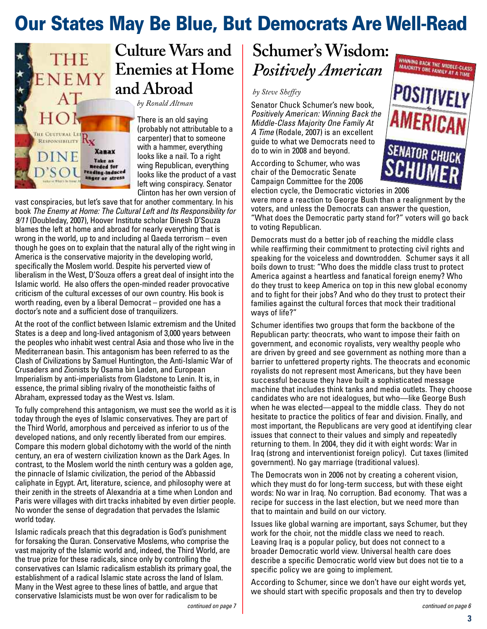# **Our States May Be Blue, But Democrats Are Well-Read**



**Culture Wars and Enemies at Home and Abroad**

*by Ronald Altman*

There is an old saying (probably not attributable to a carpenter) that to someone with a hammer, everything looks like a nail. To a right wing Republican, everything looks like the product of a vast left wing conspiracy. Senator Clinton has her own version of

vast conspiracies, but let's save that for another commentary. In his book *The Enemy at Home: The Cultural Left and Its Responsibility for 9/11* (Doubleday, 2007), Hoover Institute scholar Dinesh D'Souza blames the left at home and abroad for nearly everything that is wrong in the world, up to and including al Qaeda terrorism – even though he goes on to explain that the natural ally of the right wing in America is the conservative majority in the developing world, specifically the Moslem world. Despite his perverted view of liberalism in the West, D'Souza offers a great deal of insight into the Islamic world. He also offers the open-minded reader provocative criticism of the cultural excesses of our own country. His book is worth reading, even by a liberal Democrat – provided one has a doctor's note and a sufficient dose of tranquilizers.

At the root of the conflict between Islamic extremism and the United States is a deep and long-lived antagonism of 3,000 years between the peoples who inhabit west central Asia and those who live in the Mediterranean basin. This antagonism has been referred to as the Clash of Civilizations by Samuel Huntington, the Anti-Islamic War of Crusaders and Zionists by Osama bin Laden, and European Imperialism by anti-imperialists from Gladstone to Lenin. It is, in essence, the primal sibling rivalry of the monotheistic faiths of Abraham, expressed today as the West vs. Islam.

To fully comprehend this antagonism, we must see the world as it is today through the eyes of Islamic conservatives. They are part of the Third World, amorphous and perceived as inferior to us of the developed nations, and only recently liberated from our empires. Compare this modern global dichotomy with the world of the ninth century, an era of western civilization known as the Dark Ages. In contrast, to the Moslem world the ninth century was a golden age, the pinnacle of Islamic civilization, the period of the Abbassid caliphate in Egypt. Art, literature, science, and philosophy were at their zenith in the streets of Alexandria at a time when London and Paris were villages with dirt tracks inhabited by even dirtier people. No wonder the sense of degradation that pervades the Islamic world today.

Islamic radicals preach that this degradation is God's punishment for forsaking the Quran. Conservative Moslems, who comprise the vast majority of the Islamic world and, indeed, the Third World, are the true prize for these radicals, since only by controlling the conservatives can Islamic radicalism establish its primary goal, the establishment of a radical Islamic state across the land of Islam. Many in the West agree to these lines of battle, and argue that conservative Islamicists must be won over for radicalism to be

## **Schumer's Wisdom:** *Positively American*

*by Steve Sheffey*

Senator Chuck Schumer's new book, *Positively American: Winning Back the Middle-Class Majority One Family At A Time* (Rodale, 2007) is an excellent guide to what we Democrats need to do to win in 2008 and beyond.

According to Schumer, who was chair of the Democratic Senate Campaign Committee for the 2006



election cycle, the Democratic victories in 2006 were more a reaction to George Bush than a realignment by the voters, and unless the Democrats can answer the question, "What does the Democratic party stand for?" voters will go back to voting Republican.

Democrats must do a better job of reaching the middle class while reaffirming their commitment to protecting civil rights and speaking for the voiceless and downtrodden. Schumer says it all boils down to trust: "Who does the middle class trust to protect America against a heartless and fanatical foreign enemy? Who do they trust to keep America on top in this new global economy and to fight for their jobs? And who do they trust to protect their families against the cultural forces that mock their traditional ways of life?"

Schumer identifies two groups that form the backbone of the Republican party: theocrats, who want to impose their faith on government, and economic royalists, very wealthy people who are driven by greed and see government as nothing more than a barrier to unfettered property rights. The theocrats and economic royalists do not represent most Americans, but they have been successful because they have built a sophisticated message machine that includes think tanks and media outlets. They choose candidates who are not idealogues, but who—like George Bush when he was elected—appeal to the middle class. They do not hesitate to practice the politics of fear and division. Finally, and most important, the Republicans are very good at identifying clear issues that connect to their values and simply and repeatedly returning to them. In 2004, they did it with eight words: War in Iraq (strong and interventionist foreign policy). Cut taxes (limited government). No gay marriage (traditional values).

The Democrats won in 2006 not by creating a coherent vision, which they must do for long-term success, but with these eight words: No war in Iraq. No corruption. Bad economy. That was a recipe for success in the last election, but we need more than that to maintain and build on our victory.

Issues like global warning are important, says Schumer, but they work for the choir, not the middle class we need to reach. Leaving Iraq is a popular policy, but does not connect to a broader Democratic world view. Universal health care does describe a specific Democratic world view but does not tie to a specific policy we are going to implement.

According to Schumer, since we don't have our eight words yet, we should start with specific proposals and then try to develop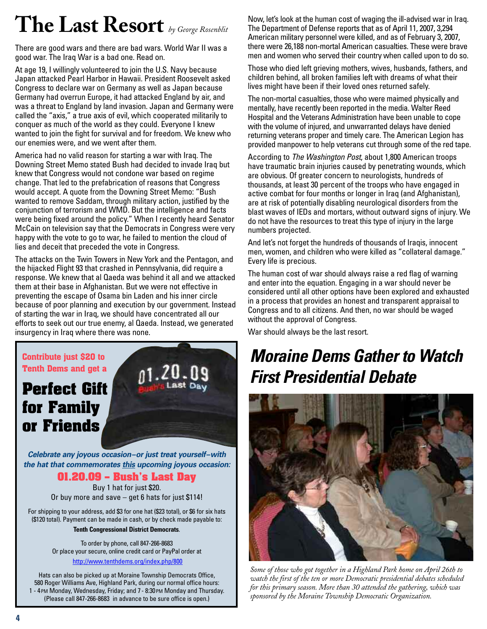# **The Last Resort** *by George Rosenblit*

There are good wars and there are bad wars. World War II was a good war. The Iraq War is a bad one. Read on.

At age 19, I willingly volunteered to join the U.S. Navy because Japan attacked Pearl Harbor in Hawaii. President Roosevelt asked Congress to declare war on Germany as well as Japan because Germany had overrun Europe, it had attacked England by air, and was a threat to England by land invasion. Japan and Germany were called the "axis," a true axis of evil, which cooperated militarily to conquer as much of the world as they could. Everyone I knew wanted to join the fight for survival and for freedom. We knew who our enemies were, and we went after them.

America had no valid reason for starting a war with Iraq. The Downing Street Memo stated Bush had decided to invade Iraq but knew that Congress would not condone war based on regime change. That led to the prefabrication of reasons that Congress would accept. A quote from the Downing Street Memo: "Bush wanted to remove Saddam, through military action, justified by the conjunction of terrorism and WMD. But the intelligence and facts were being fixed around the policy." When I recently heard Senator McCain on television say that the Democrats in Congress were very happy with the vote to go to war, he failed to mention the cloud of lies and deceit that preceded the vote in Congress.

The attacks on the Twin Towers in New York and the Pentagon, and the hijacked Flight 93 that crashed in Pennsylvania, did require a response. We knew that al Qaeda was behind it all and we attacked them at their base in Afghanistan. But we were not effective in preventing the escape of Osama bin Laden and his inner circle because of poor planning and execution by our government. Instead of starting the war in Iraq, we should have concentrated all our efforts to seek out our true enemy, al Qaeda. Instead, we generated insurgency in Iraq where there was none.

### **Contribute just \$20 to Tenth Dems and get a**

## **Perfect Gift for Family or Friends**

*Celebrate any joyous occasion–or just treat yourself–with the hat that commemorates this upcoming joyous occasion:*

### **01.20.09 – Bush's Last Day**

Buy 1 hat for just \$20. Or buy more and save – get 6 hats for just \$114!

For shipping to your address, add \$3 for one hat (\$23 total), or \$6 for six hats (\$120 total). Payment can be made in cash, or by check made payable to:

**Tenth Congressional District Democrats**.

To order by phone, call 847-266-8683 Or place your secure, online credit card or PayPal order at

<http://www.tenthdems.org/index.php/800>

Hats can also be picked up at Moraine Township Democrats Office, 580 Roger Williams Ave, Highland Park, during our normal office hours: 1 - 4PM Monday, Wednesday, Friday; and 7 - 8:30PM Monday and Thursday. (Please call 847-266-8683 in advance to be sure office is open.)

Now, let's look at the human cost of waging the ill-advised war in Iraq. The Department of Defense reports that as of April 11, 2007, 3,294 American military personnel were killed, and as of February 3, 2007, there were 26,188 non-mortal American casualties. These were brave men and women who served their country when called upon to do so.

Those who died left grieving mothers, wives, husbands, fathers, and children behind, all broken families left with dreams of what their lives might have been if their loved ones returned safely.

The non-mortal casualties, those who were maimed physically and mentally, have recently been reported in the media. Walter Reed Hospital and the Veterans Administration have been unable to cope with the volume of injured, and unwarranted delays have denied returning veterans proper and timely care. The American Legion has provided manpower to help veterans cut through some of the red tape.

According to *The Washington Post*, about 1,800 American troops have traumatic brain injuries caused by penetrating wounds, which are obvious. Of greater concern to neurologists, hundreds of thousands, at least 30 percent of the troops who have engaged in active combat for four months or longer in Iraq (and Afghanistan), are at risk of potentially disabling neurological disorders from the blast waves of IEDs and mortars, without outward signs of injury. We do not have the resources to treat this type of injury in the large numbers projected.

And let's not forget the hundreds of thousands of Iraqis, innocent men, women, and children who were killed as "collateral damage." Every life is precious.

The human cost of war should always raise a red flag of warning and enter into the equation. Engaging in a war should never be considered until all other options have been explored and exhausted in a process that provides an honest and transparent appraisal to Congress and to all citizens. And then, no war should be waged without the approval of Congress.

War should always be the last resort.

# *Moraine Dems Gather to Watch First Presidential Debate*



*Some of those who got together in a Highland Park home on April 26th to watch the first of the ten or more Democratic presidential debates scheduled for this primary season. More than 30 attended the gathering, which was sponsored by the Moraine Township Democratic Organization.*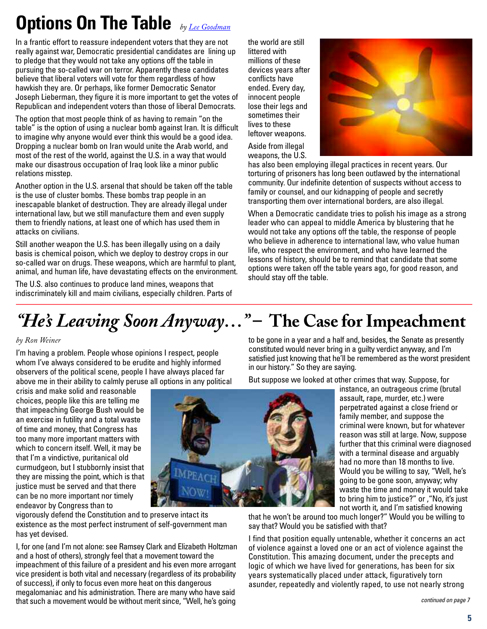# **Options On The Table** *by [Lee Goodman](http://www.AtCenterNetwork.com)*

In a frantic effort to reassure independent voters that they are not really against war, Democratic presidential candidates are lining up to pledge that they would not take any options off the table in pursuing the so-called war on terror. Apparently these candidates believe that liberal voters will vote for them regardless of how hawkish they are. Or perhaps, like former Democratic Senator Joseph Lieberman, they figure it is more important to get the votes of Republican and independent voters than those of liberal Democrats.

The option that most people think of as having to remain "on the table" is the option of using a nuclear bomb against Iran. It is difficult to imagine why anyone would ever think this would be a good idea. Dropping a nuclear bomb on Iran would unite the Arab world, and most of the rest of the world, against the U.S. in a way that would make our disastrous occupation of Iraq look like a minor public relations misstep.

Another option in the U.S. arsenal that should be taken off the table is the use of cluster bombs. These bombs trap people in an inescapable blanket of destruction. They are already illegal under international law, but we still manufacture them and even supply them to friendly nations, at least one of which has used them in attacks on civilians.

Still another weapon the U.S. has been illegally using on a daily basis is chemical poison, which we deploy to destroy crops in our so-called war on drugs. These weapons, which are harmful to plant, animal, and human life, have devastating effects on the environment.

The U.S. also continues to produce land mines, weapons that indiscriminately kill and maim civilians, especially children. Parts of

the world are still littered with millions of these devices years after conflicts have ended. Every day, innocent people lose their legs and sometimes their lives to these leftover weapons.

Aside from illegal weapons, the U.S.



has also been employing illegal practices in recent years. Our torturing of prisoners has long been outlawed by the international community. Our indefinite detention of suspects without access to family or counsel, and our kidnapping of people and secretly transporting them over international borders, are also illegal.

When a Democratic candidate tries to polish his image as a strong leader who can appeal to middle America by blustering that he would not take any options off the table, the response of people who believe in adherence to international law, who value human life, who respect the environment, and who have learned the lessons of history, should be to remind that candidate that some options were taken off the table years ago, for good reason, and should stay off the table.

# *"He's Leaving Soon Anyway…"* **– The Case for Impeachment**

### *by Ron Weiner*

I'm having a problem. People whose opinions I respect, people whom I've always considered to be erudite and highly informed observers of the political scene, people I have always placed far above me in their ability to calmly peruse all options in any political

crisis and make solid and reasonable choices, people like this are telling me that impeaching George Bush would be an exercise in futility and a total waste of time and money, that Congress has too many more important matters with which to concern itself. Well, it may be that I'm a vindictive, puritanical old curmudgeon, but I stubbornly insist that they are missing the point, which is that justice must be served and that there can be no more important nor timely endeavor by Congress than to



vigorously defend the Constitution and to preserve intact its existence as the most perfect instrument of self-government man has yet devised.

I, for one (and I'm not alone: see Ramsey Clark and Elizabeth Holtzman and a host of others), strongly feel that a movement toward the impeachment of this failure of a president and his even more arrogant vice president is both vital and necessary (regardless of its probability of success), if only to focus even more heat on this dangerous megalomaniac and his administration. There are many who have said that such a movement would be without merit since, "Well, he's going

to be gone in a year and a half and, besides, the Senate as presently constituted would never bring in a guilty verdict anyway, and I'm satisfied just knowing that he'll be remembered as the worst president in our history." So they are saying.

But suppose we looked at other crimes that way. Suppose, for

instance, an outrageous crime (brutal assault, rape, murder, etc.) were perpetrated against a close friend or family member, and suppose the criminal were known, but for whatever reason was still at large. Now, suppose further that this criminal were diagnosed with a terminal disease and arguably had no more than 18 months to live. Would you be willing to say, "Well, he's going to be gone soon, anyway; why waste the time and money it would take to bring him to justice?" or ,"No, it's just not worth it, and I'm satisfied knowing

that he won't be around too much longer?" Would you be willing to say that? Would you be satisfied with that?

I find that position equally untenable, whether it concerns an act of violence against a loved one or an act of violence against the Constitution. This amazing document, under the precepts and logic of which we have lived for generations, has been for six years systematically placed under attack, figuratively torn asunder, repeatedly and violently raped, to use not nearly strong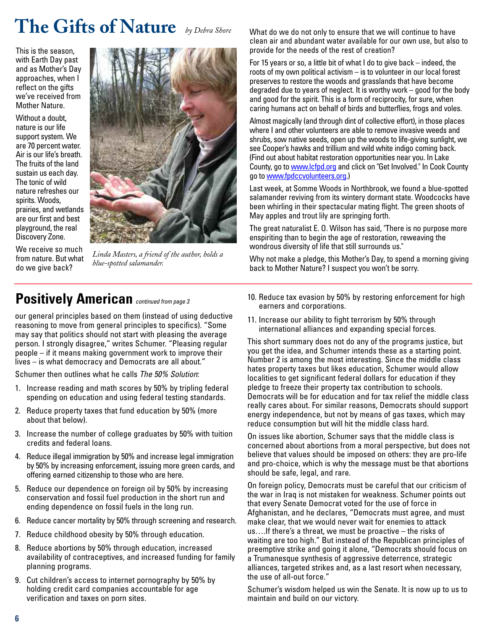# **The Gifts of Nature** *by Debra Shore*

This is the season, with Earth Day past and as Mother's Day approaches, when I reflect on the gifts we've received from Mother Nature.

Without a doubt, nature is our life support system. We are 70 percent water. Air is our life's breath. The fruits of the land sustain us each day. The tonic of wild nature refreshes our spirits. Woods, prairies, and wetlands are our first and best playground, the real Discovery Zone.

We receive so much from nature. But what do we give back?



*Linda Masters, a friend of the author, holds a blue-spotted salamander.*

### **Positively American** *continued from page 3*

our general principles based on them (instead of using deductive reasoning to move from general principles to specifics). "Some may say that politics should not start with pleasing the average person. I strongly disagree," writes Schumer. "Pleasing regular people – if it means making government work to improve their lives – is what democracy and Democrats are all about."

Schumer then outlines what he calls *The 50% Solution*:

- 1. Increase reading and math scores by 50% by tripling federal spending on education and using federal testing standards.
- 2. Reduce property taxes that fund education by 50% (more about that below).
- 3. Increase the number of college graduates by 50% with tuition credits and federal loans.
- 4. Reduce illegal immigration by 50% and increase legal immigration by 50% by increasing enforcement, issuing more green cards, and offering earned citizenship to those who are here.
- 5. Reduce our dependence on foreign oil by 50% by increasing conservation and fossil fuel production in the short run and ending dependence on fossil fuels in the long run.
- 6. Reduce cancer mortality by 50% through screening and research.
- 7. Reduce childhood obesity by 50% through education.
- 8. Reduce abortions by 50% through education, increased availability of contraceptives, and increased funding for family planning programs.
- 9. Cut children's access to internet pornography by 50% by holding credit card companies accountable for age verification and taxes on porn sites.

What do we do not only to ensure that we will continue to have clean air and abundant water available for our own use, but also to provide for the needs of the rest of creation?

For 15 years or so, a little bit of what I do to give back – indeed, the roots of my own political activism – is to volunteer in our local forest preserves to restore the woods and grasslands that have become degraded due to years of neglect. It is worthy work – good for the body and good for the spirit. This is a form of reciprocity, for sure, when caring humans act on behalf of birds and butterflies, frogs and voles.

Almost magically (and through dint of collective effort), in those places where I and other volunteers are able to remove invasive weeds and shrubs, sow native seeds, open up the woods to life-giving sunlight, we see Cooper's hawks and trillium and wild white indigo coming back. (Find out about habitat restoration opportunities near you. In Lake County, go t[o www.lcfpd.org](http://www.lcfpd.org) and click on "Get Involved." In Cook County go to [www.fpdccvolunteers.org.](http://www.fpdccvolunteers.org))

Last week, at Somme Woods in Northbrook, we found a blue-spotted salamander reviving from its wintery dormant state. Woodcocks have been whirling in their spectacular mating flight. The green shoots of May apples and trout lily are springing forth.

The great naturalist E. O. Wilson has said, "There is no purpose more enspiriting than to begin the age of restoration, reweaving the wondrous diversity of life that still surrounds us."

Why not make a pledge, this Mother's Day, to spend a morning giving back to Mother Nature? I suspect you won't be sorry.

- 10. Reduce tax evasion by 50% by restoring enforcement for high earners and corporations.
- 11. Increase our ability to fight terrorism by 50% through international alliances and expanding special forces.

This short summary does not do any of the programs justice, but you get the idea, and Schumer intends these as a starting point. Number 2 is among the most interesting. Since the middle class hates property taxes but likes education, Schumer would allow localities to get significant federal dollars for education if they pledge to freeze their property tax contribution to schools. Democrats will be for education and for tax relief the middle class really cares about. For similar reasons, Democrats should support energy independence, but not by means of gas taxes, which may reduce consumption but will hit the middle class hard.

On issues like abortion, Schumer says that the middle class is concerned about abortions from a moral perspective, but does not believe that values should be imposed on others: they are pro-life and pro-choice, which is why the message must be that abortions should be safe, legal, and rare.

On foreign policy, Democrats must be careful that our criticism of the war in Iraq is not mistaken for weakness. Schumer points out that every Senate Democrat voted for the use of force in Afghanistan, and he declares, "Democrats must agree, and must make clear, that we would never wait for enemies to attack us….If there's a threat, we must be proactive – the risks of waiting are too high." But instead of the Republican principles of preemptive strike and going it alone, "Democrats should focus on a Trumanesque synthesis of aggressive deterrence, strategic alliances, targeted strikes and, as a last resort when necessary, the use of all-out force."

Schumer's wisdom helped us win the Senate. It is now up to us to maintain and build on our victory.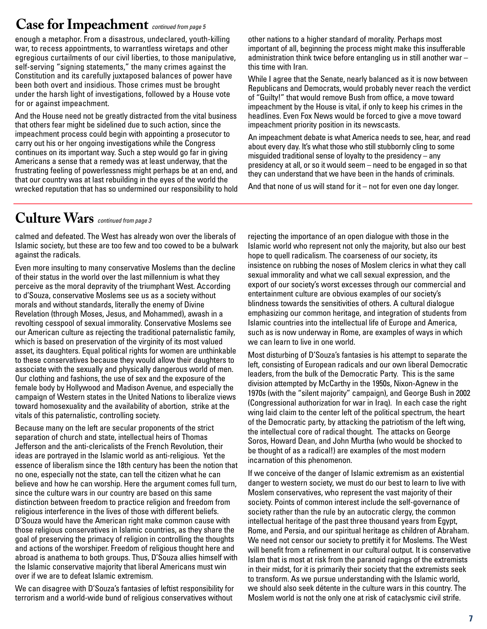## **Case for Impeachment** *continued from page 5*

enough a metaphor. From a disastrous, undeclared, youth-killing war, to recess appointments, to warrantless wiretaps and other egregious curtailments of our civil liberties, to those manipulative, self-serving "signing statements," the many crimes against the Constitution and its carefully juxtaposed balances of power have been both overt and insidious. Those crimes must be brought under the harsh light of investigations, followed by a House vote for or against impeachment.

And the House need not be greatly distracted from the vital business that others fear might be sidelined due to such action, since the impeachment process could begin with appointing a prosecutor to carry out his or her ongoing investigations while the Congress continues on its important way. Such a step would go far in giving Americans a sense that a remedy was at least underway, that the frustrating feeling of powerlessness might perhaps be at an end, and that our country was at last rebuilding in the eyes of the world the wrecked reputation that has so undermined our responsibility to hold

other nations to a higher standard of morality. Perhaps most important of all, beginning the process might make this insufferable administration think twice before entangling us in still another war – this time with Iran.

While I agree that the Senate, nearly balanced as it is now between Republicans and Democrats, would probably never reach the verdict of "Guilty!" that would remove Bush from office, a move toward impeachment by the House is vital, if only to keep his crimes in the headlines. Even Fox News would be forced to give a move toward impeachment priority position in its newscasts.

An impeachment debate is what America needs to see, hear, and read about every day. It's what those who still stubbornly cling to some misguided traditional sense of loyalty to the presidency – any presidency at all, or so it would seem – need to be engaged in so that they can understand that we have been in the hands of criminals.

And that none of us will stand for it – not for even one day longer.

### **Culture Wars** *continued from page 3*

calmed and defeated. The West has already won over the liberals of Islamic society, but these are too few and too cowed to be a bulwark against the radicals.

Even more insulting to many conservative Moslems than the decline of their status in the world over the last millennium is what they perceive as the moral depravity of the triumphant West. According to d'Souza, conservative Moslems see us as a society without morals and without standards, literally the enemy of Divine Revelation (through Moses, Jesus, and Mohammed), awash in a revolting cesspool of sexual immorality. Conservative Moslems see our American culture as rejecting the traditional paternalistic family, which is based on preservation of the virginity of its most valued asset, its daughters. Equal political rights for women are unthinkable to these conservatives because they would allow their daughters to associate with the sexually and physically dangerous world of men. Our clothing and fashions, the use of sex and the exposure of the female body by Hollywood and Madison Avenue, and especially the campaign of Western states in the United Nations to liberalize views toward homosexuality and the availability of abortion, strike at the vitals of this paternalistic, controlling society.

Because many on the left are secular proponents of the strict separation of church and state, intellectual heirs of Thomas Jefferson and the anti-clericalists of the French Revolution, their ideas are portrayed in the Islamic world as anti-religious. Yet the essence of liberalism since the 18th century has been the notion that no one, especially not the state, can tell the citizen what he can believe and how he can worship. Here the argument comes full turn, since the culture wars in our country are based on this same distinction between freedom to practice religion and freedom from religious interference in the lives of those with different beliefs. D'Souza would have the American right make common cause with those religious conservatives in Islamic countries, as they share the goal of preserving the primacy of religion in controlling the thoughts and actions of the worshiper. Freedom of religious thought here and abroad is anathema to both groups. Thus, D'Souza allies himself with the Islamic conservative majority that liberal Americans must win over if we are to defeat Islamic extremism.

We can disagree with D'Souza's fantasies of leftist responsibility for terrorism and a world-wide bund of religious conservatives without

rejecting the importance of an open dialogue with those in the Islamic world who represent not only the majority, but also our best hope to quell radicalism. The coarseness of our society, its insistence on rubbing the noses of Moslem clerics in what they call sexual immorality and what we call sexual expression, and the export of our society's worst excesses through our commercial and entertainment culture are obvious examples of our society's blindness towards the sensitivities of others. A cultural dialogue emphasizing our common heritage, and integration of students from Islamic countries into the intellectual life of Europe and America, such as is now underway in Rome, are examples of ways in which we can learn to live in one world.

Most disturbing of D'Souza's fantasies is his attempt to separate the left, consisting of European radicals and our own liberal Democratic leaders, from the bulk of the Democratic Party. This is the same division attempted by McCarthy in the 1950s, Nixon-Agnew in the 1970s (with the "silent majority" campaign), and George Bush in 2002 (Congressional authorization for war in Iraq). In each case the right wing laid claim to the center left of the political spectrum, the heart of the Democratic party, by attacking the patriotism of the left wing, the intellectual core of radical thought. The attacks on George Soros, Howard Dean, and John Murtha (who would be shocked to be thought of as a radical!) are examples of the most modern incarnation of this phenomenon.

If we conceive of the danger of Islamic extremism as an existential danger to western society, we must do our best to learn to live with Moslem conservatives, who represent the vast majority of their society. Points of common interest include the self-governance of society rather than the rule by an autocratic clergy, the common intellectual heritage of the past three thousand years from Egypt, Rome, and Persia, and our spiritual heritage as children of Abraham. We need not censor our society to prettify it for Moslems. The West will benefit from a refinement in our cultural output. It is conservative Islam that is most at risk from the paranoid ragings of the extremists in their midst, for it is primarily their society that the extremists seek to transform. As we pursue understanding with the Islamic world, we should also seek détente in the culture wars in this country. The Moslem world is not the only one at risk of cataclysmic civil strife.